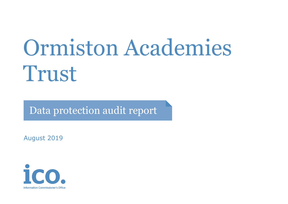# Ormiston Academies Trust

Data protection audit report

August 2019

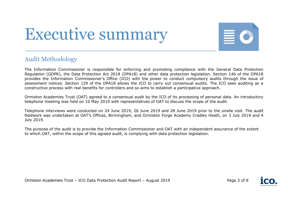## Executive summary



## Audit Methodology

The Information Commissioner is responsible for enforcing and promoting compliance with the General Data Protection Regulation (GDPR), the Data Protection Act 2018 (DPA18) and other data protection legislation. Section 146 of the DPA18 provides the Information Commissioner's Office (ICO) with the power to conduct compulsory audits through the issue of assessment notices. Section 129 of the DPA18 allows the ICO to carry out consensual audits. The ICO sees auditing as a constructive process with real benefits for controllers and so aims to establish a participative approach.

Ormiston Academies Trust (OAT) agreed to a consensual audit by the ICO of its processing of personal data. An introductory telephone meeting was held on 10 May 2019 with representatives of OAT to discuss the scope of the audit.

Telephone interviews were conducted on 24 June 2019, 26 June 2019 and 28 June 2019 prior to the onsite visit. The audit fieldwork was undertaken at OAT's Offices, Birmingham, and Ormiston Forge Academy Cradley Heath, on 3 July 2019 and 4 July 2019.

The purpose of the audit is to provide the Information Commissioner and OAT with an independent assurance of the extent to which OAT, within the scope of this agreed audit, is complying with data protection legislation.

Ormiston Academies Trust – ICO Data Protection Audit Report – August 2019 Page 2 of 8

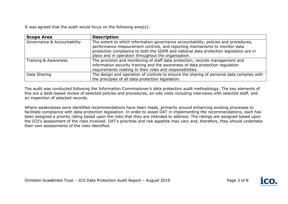It was agreed that the audit would focus on the following area(s):

| <b>Scope Area</b>           | <b>Description</b>                                                                                                                                                                                                                                                                                                 |
|-----------------------------|--------------------------------------------------------------------------------------------------------------------------------------------------------------------------------------------------------------------------------------------------------------------------------------------------------------------|
| Governance & Accountability | The extent to which information governance accountability, policies and procedures,<br>performance measurement controls, and reporting mechanisms to monitor data<br>protection compliance to both the GDPR and national data protection legislation are in<br>place and in operation throughout the organisation. |
| Training & Awareness        | The provision and monitoring of staff data protection, records management and<br>information security training and the awareness of data protection regulation<br>requirements relating to their roles and responsibilities.                                                                                       |
| Data Sharing                | The design and operation of controls to ensure the sharing of personal data complies with<br>the principles of all data protection legislation.                                                                                                                                                                    |

The audit was conducted following the Information Commissioner's data protection audit methodology. The key elements of this are a desk-based review of selected policies and procedures, on-site visits including interviews with selected staff, and an inspection of selected records.

Where weaknesses were identified recommendations have been made, primarily around enhancing existing processes to facilitate compliance with data protection legislation. In order to assist OAT in implementing the recommendations, each has been assigned a priority rating based upon the risks that they are intended to address. The ratings are assigned based upon the ICO's assessment of the risks involved. OAT's priorities and risk appetite may vary and, therefore, they should undertake their own assessments of the risks identified.



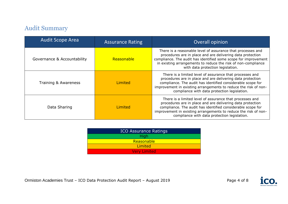## Audit Summary

| <b>Audit Scope Area</b>     | <b>Assurance Rating</b> | Overall opinion                                                                                                                                                                                                                                                                                          |
|-----------------------------|-------------------------|----------------------------------------------------------------------------------------------------------------------------------------------------------------------------------------------------------------------------------------------------------------------------------------------------------|
| Governance & Accountability | Reasonable              | There is a reasonable level of assurance that processes and<br>procedures are in place and are delivering data protection<br>compliance. The audit has identified some scope for improvement<br>in existing arrangements to reduce the risk of non-compliance<br>with data protection legislation.       |
| Training & Awareness        | Limited                 | There is a limited level of assurance that processes and<br>procedures are in place and are delivering data protection<br>compliance. The audit has identified considerable scope for<br>improvement in existing arrangements to reduce the risk of non-<br>compliance with data protection legislation. |
| Data Sharing                | Limited                 | There is a limited level of assurance that processes and<br>procedures are in place and are delivering data protection<br>compliance. The audit has identified considerable scope for<br>improvement in existing arrangements to reduce the risk of non-<br>compliance with data protection legislation. |

| <b>ICO Assurance Ratings</b> |
|------------------------------|
| <b>High</b>                  |
| Reasonable                   |
| Limited                      |
| <b>Very Limited</b>          |



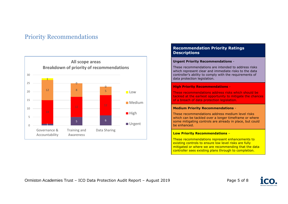## Priority Recommendations



#### **Recommendation Priority Ratings Descriptions**

#### **Urgent Priority Recommendations** -

These recommendations are intended to address risks which represent clear and immediate risks to the data controller's ability to comply with the requirements of data protection legislation.

#### **High Priority Recommendations** -

These recommendations address risks which should be tackled at the earliest opportunity to mitigate the chances of a breach of data protection legislation.

#### **Medium Priority Recommendations** -

These recommendations address medium level risks which can be tackled over a longer timeframe or where some mitigating controls are already in place, but could be enhanced.

#### **Low Priority Recommendations** –

These recommendations represent enhancements to existing controls to ensure low level risks are fully mitigated or where we are recommending that the data controller sees existing plans through to completion.



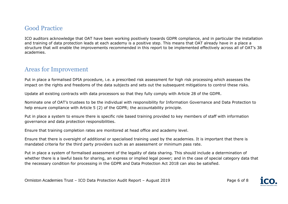## Good Practice

ICO auditors acknowledge that OAT have been working positively towards GDPR compliance, and in particular the installation and training of data protection leads at each academy is a positive step. This means that OAT already have in a place a structure that will enable the improvements recommended in this report to be implemented effectively across all of OAT's 38 academies.

## Areas for Improvement

Put in place a formalised DPIA procedure, i.e. a prescribed risk assessment for high risk processing which assesses the impact on the rights and freedoms of the data subjects and sets out the subsequent mitigations to control these risks.

Update all existing contracts with data processors so that they fully comply with Article 28 of the GDPR.

Nominate one of OAT's trustees to be the individual with responsibility for Information Governance and Data Protection to help ensure compliance with Article 5 (2) of the GDPR; the accountability principle.

Put in place a system to ensure there is specific role based training provided to key members of staff with information governance and data protection responsibilities.

Ensure that training completion rates are monitored at head office and academy level.

Ensure that there is oversight of additional or specialised training used by the academies. It is important that there is mandated criteria for the third party providers such as an assessment or minimum pass rate.

Put in place a system of formalised assessment of the legality of data sharing. This should include a determination of whether there is a lawful basis for sharing, an express or implied legal power; and in the case of special category data that the necessary condition for processing in the GDPR and Data Protection Act 2018 can also be satisfied.



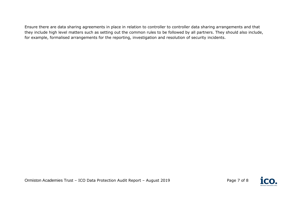Ensure there are data sharing agreements in place in relation to controller to controller data sharing arrangements and that they include high level matters such as setting out the common rules to be followed by all partners. They should also include, for example, formalised arrangements for the reporting, investigation and resolution of security incidents.